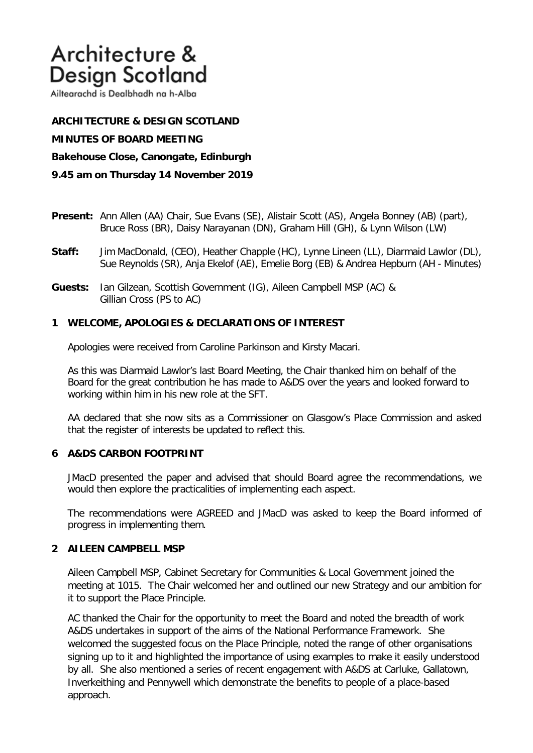# Architecture & **Design Scotland**

Ailtearachd is Dealbhadh na h-Alba

**ARCHITECTURE & DESIGN SCOTLAND MINUTES OF BOARD MEETING Bakehouse Close, Canongate, Edinburgh 9.45 am on Thursday 14 November 2019**

- **Present:** Ann Allen (AA) Chair, Sue Evans (SE), Alistair Scott (AS), Angela Bonney (AB) (part), Bruce Ross (BR), Daisy Narayanan (DN), Graham Hill (GH), & Lynn Wilson (LW)
- **Staff:** Jim MacDonald, (CEO), Heather Chapple (HC), Lynne Lineen (LL), Diarmaid Lawlor (DL), Sue Reynolds (SR), Anja Ekelof (AE), Emelie Borg (EB) & Andrea Hepburn (AH - Minutes)
- **Guests:** Ian Gilzean, Scottish Government (IG), Aileen Campbell MSP (AC) & Gillian Cross (PS to AC)

## **1 WELCOME, APOLOGIES & DECLARATIONS OF INTEREST**

Apologies were received from Caroline Parkinson and Kirsty Macari.

As this was Diarmaid Lawlor's last Board Meeting, the Chair thanked him on behalf of the Board for the great contribution he has made to A&DS over the years and looked forward to working within him in his new role at the SFT.

AA declared that she now sits as a Commissioner on Glasgow's Place Commission and asked that the register of interests be updated to reflect this.

## **6 A&DS CARBON FOOTPRINT**

JMacD presented the paper and advised that should Board agree the recommendations, we would then explore the practicalities of implementing each aspect.

The recommendations were AGREED and JMacD was asked to keep the Board informed of progress in implementing them.

## **2 AILEEN CAMPBELL MSP**

Aileen Campbell MSP, Cabinet Secretary for Communities & Local Government joined the meeting at 1015. The Chair welcomed her and outlined our new Strategy and our ambition for it to support the Place Principle.

AC thanked the Chair for the opportunity to meet the Board and noted the breadth of work A&DS undertakes in support of the aims of the National Performance Framework. She welcomed the suggested focus on the Place Principle, noted the range of other organisations signing up to it and highlighted the importance of using examples to make it easily understood by all. She also mentioned a series of recent engagement with A&DS at Carluke, Gallatown, Inverkeithing and Pennywell which demonstrate the benefits to people of a place-based approach.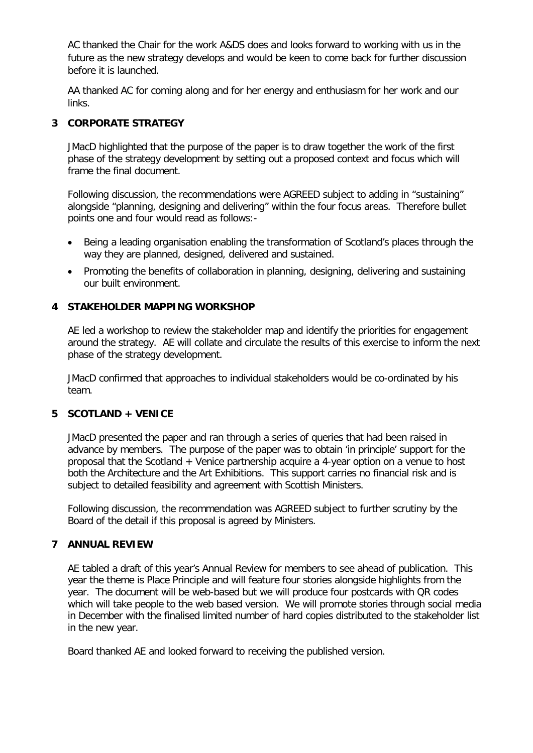AC thanked the Chair for the work A&DS does and looks forward to working with us in the future as the new strategy develops and would be keen to come back for further discussion before it is launched.

AA thanked AC for coming along and for her energy and enthusiasm for her work and our links.

## **3 CORPORATE STRATEGY**

JMacD highlighted that the purpose of the paper is to draw together the work of the first phase of the strategy development by setting out a proposed context and focus which will frame the final document.

 Following discussion, the recommendations were AGREED subject to adding in "sustaining" alongside "planning, designing and delivering" within the four focus areas. Therefore bullet points one and four would read as follows:-

- Being a leading organisation enabling the transformation of Scotland's places through the way they are planned, designed, delivered and sustained.
- Promoting the benefits of collaboration in planning, designing, delivering and sustaining our built environment.

## **4 STAKEHOLDER MAPPING WORKSHOP**

AE led a workshop to review the stakeholder map and identify the priorities for engagement around the strategy. AE will collate and circulate the results of this exercise to inform the next phase of the strategy development.

JMacD confirmed that approaches to individual stakeholders would be co-ordinated by his team.

## **5 SCOTLAND + VENICE**

JMacD presented the paper and ran through a series of queries that had been raised in advance by members. The purpose of the paper was to obtain 'in principle' support for the proposal that the Scotland + Venice partnership acquire a 4-year option on a venue to host both the Architecture and the Art Exhibitions. This support carries no financial risk and is subject to detailed feasibility and agreement with Scottish Ministers.

Following discussion, the recommendation was AGREED subject to further scrutiny by the Board of the detail if this proposal is agreed by Ministers.

# **7 ANNUAL REVIEW**

AE tabled a draft of this year's Annual Review for members to see ahead of publication. This year the theme is Place Principle and will feature four stories alongside highlights from the year. The document will be web-based but we will produce four postcards with QR codes which will take people to the web based version. We will promote stories through social media in December with the finalised limited number of hard copies distributed to the stakeholder list in the new year.

Board thanked AE and looked forward to receiving the published version.